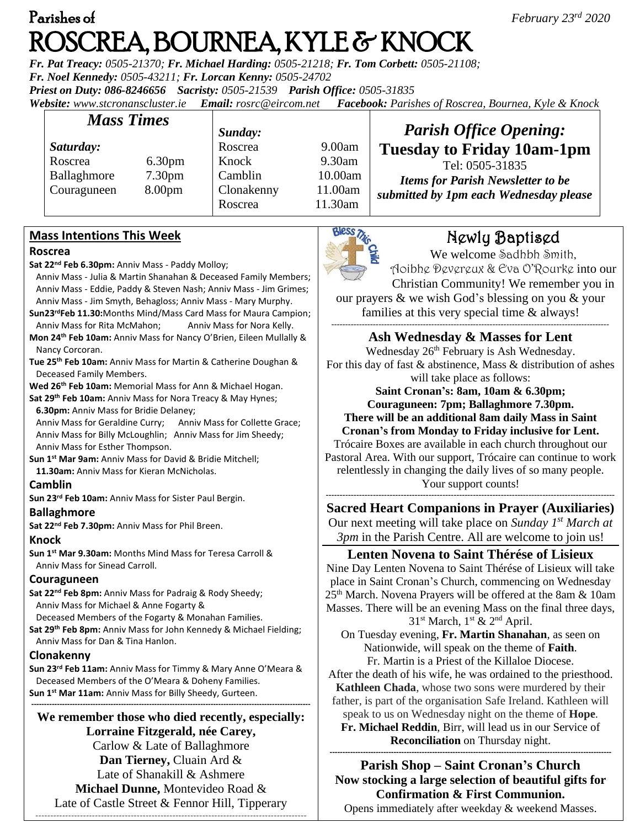# Parishes of *February 23rd 2020*  ROSCREA, BOURNEA, KYLE & KNOCK

*Fr. Pat Treacy: 0505-21370; Fr. Michael Harding: 0505-21218; Fr. Tom Corbett: 0505-21108; Fr. Noel Kennedy: 0505-43211; Fr. Lorcan Kenny: 0505-24702 Priest on Duty: 086-8246656 Sacristy: 0505-21539 Parish Office: 0505-31835* 

*Website: [www.stcronanscluster.ie](http://www.stcronanscluster.ie/) Email: [rosrc@eircom.net](mailto:rosrc@eircom.net) Facebook: Parishes of Roscrea, Bournea, Kyle & Knock* 

| <b>Mass Times</b> |                    | Sunday:    |         | <b>Parish Office Opening:</b>                                                                         |
|-------------------|--------------------|------------|---------|-------------------------------------------------------------------------------------------------------|
| Saturday:         |                    | Roscrea    | 9.00am  | <b>Tuesday to Friday 10am-1pm</b>                                                                     |
| Roscrea           | 6.30 <sub>pm</sub> | Knock      | 9.30am  | Tel: 0505-31835<br><b>Items for Parish Newsletter to be</b><br>submitted by 1pm each Wednesday please |
| Ballaghmore       | 7.30 <sub>pm</sub> | Camblin    | 10.00am |                                                                                                       |
| Couraguneen       | 8.00 <sub>pm</sub> | Clonakenny | 11.00am |                                                                                                       |
|                   |                    | Roscrea    | 11.30am |                                                                                                       |

## **Mass Intentions This Week**

#### **Roscrea**

- **Sat 22nd Feb 6.30pm:** Anniv Mass Paddy Molloy;
- Anniv Mass Julia & Martin Shanahan & Deceased Family Members; Anniv Mass - Eddie, Paddy & Steven Nash; Anniv Mass - Jim Grimes; Anniv Mass - Jim Smyth, Behagloss; Anniv Mass - Mary Murphy.
- **Sun23rdFeb 11.30:**Months Mind/Mass Card Mass for Maura Campion; Anniv Mass for Rita McMahon; Anniv Mass for Nora Kelly. **Mon 24th Feb 10am:** Anniv Mass for Nancy O'Brien, Eileen Mullally &
- Nancy Corcoran.
- **Tue 25th Feb 10am:** Anniv Mass for Martin & Catherine Doughan & Deceased Family Members.

**Wed 26th Feb 10am:** Memorial Mass for Ann & Michael Hogan.

**Sat 29 th Feb 10am:** Anniv Mass for Nora Treacy & May Hynes;  **6.30pm:** Anniv Mass for Bridie Delaney;

 Anniv Mass for Geraldine Curry; Anniv Mass for Collette Grace; Anniv Mass for Billy McLoughlin; Anniv Mass for Jim Sheedy; Anniv Mass for Esther Thompson.

**Sun 1st Mar 9am:** Anniv Mass for David & Bridie Mitchell;

 **11.30am:** Anniv Mass for Kieran McNicholas.

#### **Camblin**

**Sun 23rd Feb 10am:** Anniv Mass for Sister Paul Bergin.

# **Ballaghmore**

**Sat 22nd Feb 7.30pm:** Anniv Mass for Phil Breen.

#### **Knock**

**Sun 1st Mar 9.30am:** Months Mind Mass for Teresa Carroll & Anniv Mass for Sinead Carroll.

#### **Couraguneen**

**Sat 22nd Feb 8pm:** Anniv Mass for Padraig & Rody Sheedy; Anniv Mass for Michael & Anne Fogarty &

Deceased Members of the Fogarty & Monahan Families.

**Sat 29th Feb 8pm:** Anniv Mass for John Kennedy & Michael Fielding; Anniv Mass for Dan & Tina Hanlon.

#### **Clonakenny**

**Sun 23rd Feb 11am:** Anniv Mass for Timmy & Mary Anne O'Meara & Deceased Members of the O'Meara & Doheny Families. **Sun 1st Mar 11am:** Anniv Mass for Billy Sheedy, Gurteen.

**------------------------------------------------------------------------------------------------------------- We remember those who died recently, especially: Lorraine Fitzgerald, née Carey,**  Carlow & Late of Ballaghmore **Dan Tierney,** Cluain Ard & Late of Shanakill & Ashmere **Michael Dunne,** Montevideo Road & Late of Castle Street & Fennor Hill, Tipperary -------------------------------------------------------------------------------------------



# Newly Baptised

We welcome Sadhbh Smith, Aoibhe Devereux & Eva O'Rourke into our Christian Community! We remember you in our prayers & we wish God's blessing on you & your families at this very special time & always!

---------------------------------------------------------------------------------------------------- **Ash Wednesday & Masses for Lent**

Wednesday 26<sup>th</sup> February is Ash Wednesday. For this day of fast & abstinence, Mass & distribution of ashes will take place as follows:

> **Saint Cronan's: 8am, 10am & 6.30pm; Couraguneen: 7pm; Ballaghmore 7.30pm.**

**There will be an additional 8am daily Mass in Saint** 

**Cronan's from Monday to Friday inclusive for Lent.** Trócaire Boxes are available in each church throughout our

Pastoral Area. With our support, Trócaire can continue to work relentlessly in changing the daily lives of so many people. Your support counts!

**-------------------------------------------------------------------------------------------------------- Sacred Heart Companions in Prayer (Auxiliaries)** Our next meeting will take place on *Sunday 1st March at 3pm* in the Parish Centre. All are welcome to join us!

## **Lenten Novena to Saint Thérése of Lisieux**

Nine Day Lenten Novena to Saint Thérése of Lisieux will take place in Saint Cronan's Church, commencing on Wednesday 25<sup>th</sup> March. Novena Prayers will be offered at the 8am & 10am Masses. There will be an evening Mass on the final three days,  $31<sup>st</sup> March, 1<sup>st</sup> & 2<sup>nd</sup> April.$ 

On Tuesday evening, **Fr. Martin Shanahan**, as seen on Nationwide, will speak on the theme of **Faith**.

Fr. Martin is a Priest of the Killaloe Diocese. After the death of his wife, he was ordained to the priesthood. **Kathleen Chada**, whose two sons were murdered by their

father, is part of the organisation Safe Ireland. Kathleen will speak to us on Wednesday night on the theme of **Hope**.

**Fr. Michael Reddin**, Birr, will lead us in our Service of **Reconciliation** on Thursday night.

#### **-------------------------------------------------------------------------------------------------------------- Parish Shop – Saint Cronan's Church Now stocking a large selection of beautiful gifts for Confirmation & First Communion.**

Opens immediately after weekday & weekend Masses.